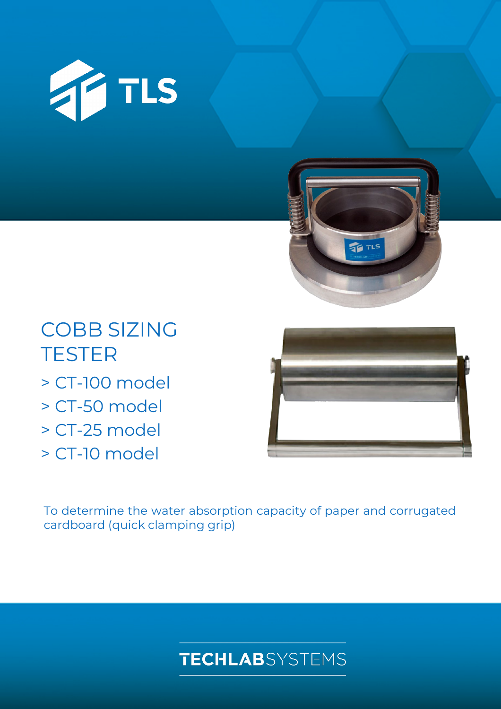



COBB SIZING **TESTER** > CT-100 model > CT-50 model > CT-25 model > CT-10 model



To determine the water absorption capacity of paper and corrugated cardboard (quick clamping grip)

# **TECHLAB**SYSTEMS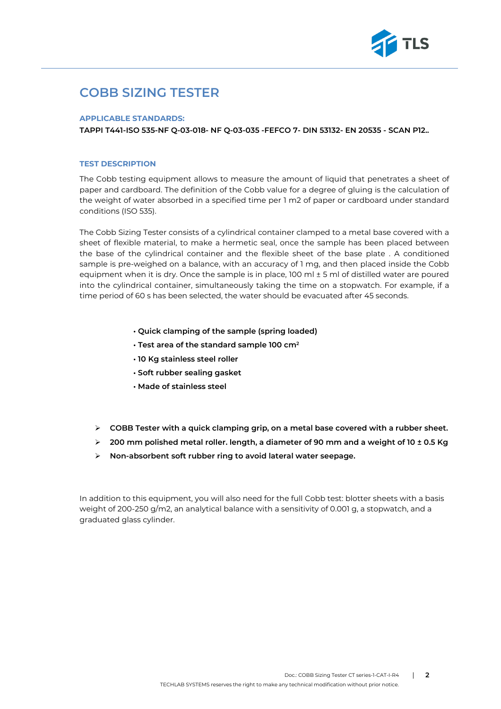

## **COBB SIZING TESTER**

#### **APPLICABLE STANDARDS:**

**TAPPI T441-ISO 535-NF Q-03-018- NF Q-03-035 -FEFCO 7- DIN 53132- EN 20535 - SCAN P12..**

#### **TEST DESCRIPTION**

The Cobb testing equipment allows to measure the amount of liquid that penetrates a sheet of paper and cardboard. The definition of the Cobb value for a degree of gluing is the calculation of the weight of water absorbed in a specified time per 1 m2 of paper or cardboard under standard conditions (ISO 535).

The Cobb Sizing Tester consists of a cylindrical container clamped to a metal base covered with a sheet of flexible material, to make a hermetic seal, once the sample has been placed between the base of the cylindrical container and the flexible sheet of the base plate . A conditioned sample is pre-weighed on a balance, with an accuracy of 1 mg, and then placed inside the Cobb equipment when it is dry. Once the sample is in place, 100 ml ± 5 ml of distilled water are poured into the cylindrical container, simultaneously taking the time on a stopwatch. For example, if a time period of 60 s has been selected, the water should be evacuated after 45 seconds.

- **Quick clamping of the sample (spring loaded)**
- **Test area of the standard sample 100 cm2**
- **10 Kg stainless steel roller**
- **Soft rubber sealing gasket**
- **Made of stainless steel**
- **COBB Tester with a quick clamping grip, on a metal base covered with a rubber sheet.**
- **200 mm polished metal roller. length, a diameter of 90 mm and a weight of 10 ± 0.5 Kg**
- **Non-absorbent soft rubber ring to avoid lateral water seepage.**

In addition to this equipment, you will also need for the full Cobb test: blotter sheets with a basis weight of 200-250 g/m2, an analytical balance with a sensitivity of 0.001 g, a stopwatch, and a graduated glass cylinder.